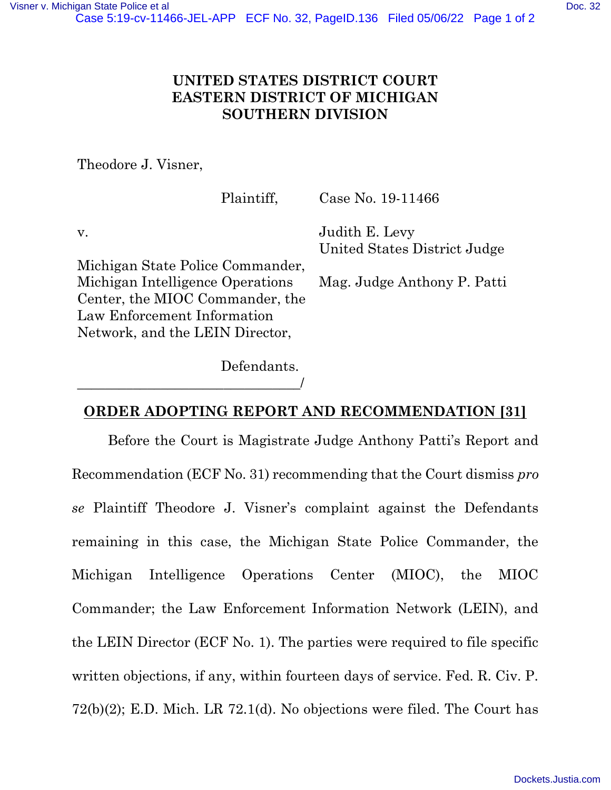## UNITED STATES DISTRICT COURT EASTERN DISTRICT OF MICHIGAN SOUTHERN DIVISION

Theodore J. Visner,

v.

Plaintiff,

Case No. 19-11466

Judith E. Levy United States District Judge

Michigan State Police Commander, Michigan Intelligence Operations Center, the MIOC Commander, the Law Enforcement Information Network, and the LEIN Director,

Mag. Judge Anthony P. Patti

Defendants. \_\_\_\_\_\_\_\_\_\_\_\_\_\_\_\_\_\_\_\_\_\_\_\_\_\_\_\_\_\_\_\_/

## ORDER ADOPTING REPORT AND RECOMMENDATION [31]

Before the Court is Magistrate Judge Anthony Patti's Report and Recommendation (ECF No. 31) recommending that the Court dismiss pro se Plaintiff Theodore J. Visner's complaint against the Defendants remaining in this case, the Michigan State Police Commander, the Michigan Intelligence Operations Center (MIOC), the MIOC Commander; the Law Enforcement Information Network (LEIN), and the LEIN Director (ECF No. 1). The parties were required to file specific written objections, if any, within fourteen days of service. Fed. R. Civ. P. 72(b)(2); E.D. Mich. LR 72.1(d). No objections were filed. The Court has